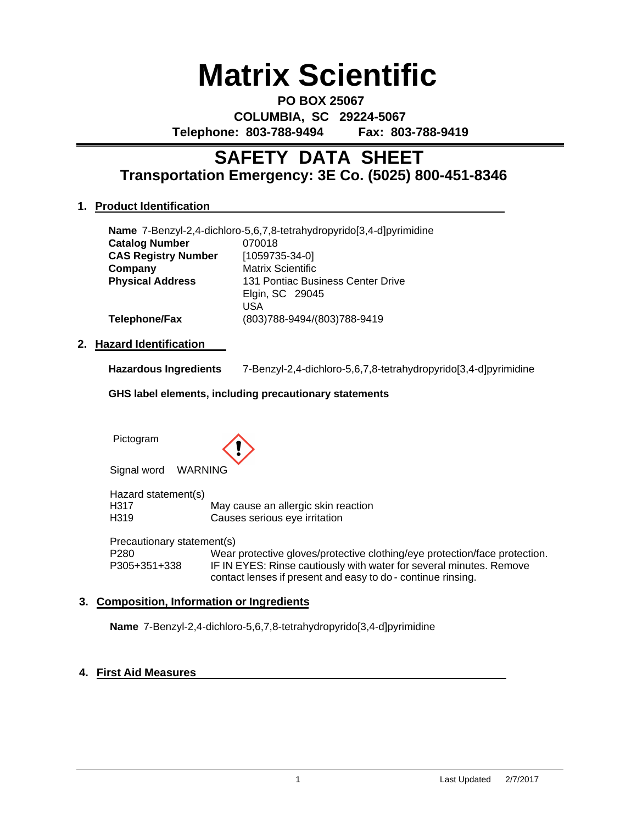# **Matrix Scientific**

**PO BOX 25067 COLUMBIA, SC 29224-5067 Telephone: 803-788-9494 Fax: 803-788-9419**

# **Transportation Emergency: 3E Co. (5025) 800-451-8346 SAFETY DATA SHEET**

# **1. Product Identification**

| Name 7-Benzyl-2,4-dichloro-5,6,7,8-tetrahydropyrido[3,4-d]pyrimidine |                             |  |  |
|----------------------------------------------------------------------|-----------------------------|--|--|
| <b>Catalog Number</b>                                                | 070018                      |  |  |
| <b>CAS Registry Number</b>                                           | $[1059735-34-0]$            |  |  |
| Company                                                              | <b>Matrix Scientific</b>    |  |  |
| <b>Physical Address</b><br>131 Pontiac Business Center Drive         |                             |  |  |
|                                                                      | Elgin, SC 29045             |  |  |
|                                                                      | USA                         |  |  |
| <b>Telephone/Fax</b>                                                 | (803)788-9494/(803)788-9419 |  |  |

### **2. Hazard Identification**

| <b>Hazardous Ingredients</b> | 7-Benzyl-2,4-dichloro-5,6,7,8-tetrahydropyrido[3,4-d]pyrimidine |
|------------------------------|-----------------------------------------------------------------|
|                              |                                                                 |

**GHS label elements, including precautionary statements**

Pictogram



Signal word WARNING

Hazard statement(s) H317 May cause an allergic skin reaction<br>H319 Causes serious eve irritation Causes serious eye irritation

Precautionary statement(s) P280 Wear protective gloves/protective clothing/eye protection/face protection.<br>P305+351+338 IF IN EYES: Rinse cautiously with water for several minutes. Remove IF IN EYES: Rinse cautiously with water for several minutes. Remove contact lenses if present and easy to do - continue rinsing.

### **3. Composition, Information or Ingredients**

**Name** 7-Benzyl-2,4-dichloro-5,6,7,8-tetrahydropyrido[3,4-d]pyrimidine

### **4. First Aid Measures**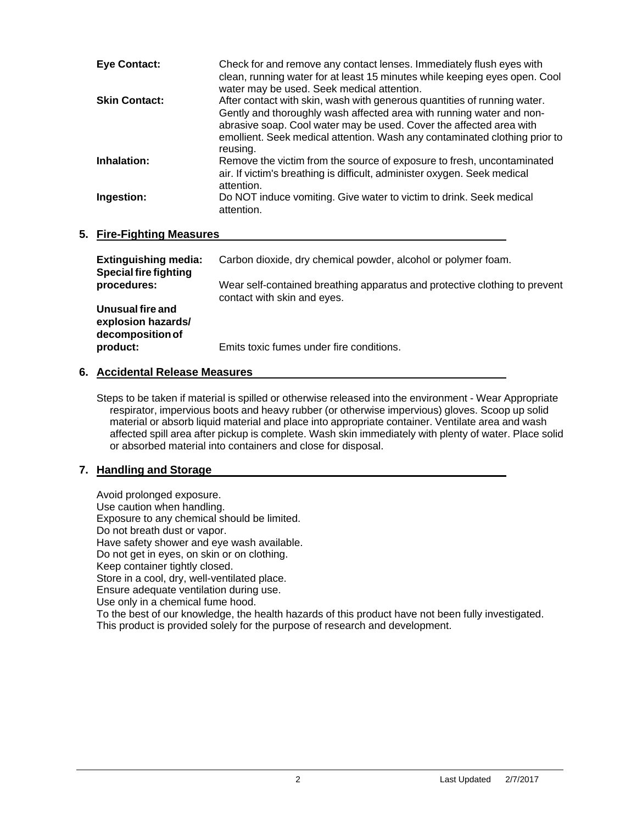| <b>Eye Contact:</b>  | Check for and remove any contact lenses. Immediately flush eyes with<br>clean, running water for at least 15 minutes while keeping eyes open. Cool<br>water may be used. Seek medical attention.                                                                                                                  |
|----------------------|-------------------------------------------------------------------------------------------------------------------------------------------------------------------------------------------------------------------------------------------------------------------------------------------------------------------|
| <b>Skin Contact:</b> | After contact with skin, wash with generous quantities of running water.<br>Gently and thoroughly wash affected area with running water and non-<br>abrasive soap. Cool water may be used. Cover the affected area with<br>emollient. Seek medical attention. Wash any contaminated clothing prior to<br>reusing. |
| Inhalation:          | Remove the victim from the source of exposure to fresh, uncontaminated<br>air. If victim's breathing is difficult, administer oxygen. Seek medical<br>attention.                                                                                                                                                  |
| Ingestion:           | Do NOT induce vomiting. Give water to victim to drink. Seek medical<br>attention.                                                                                                                                                                                                                                 |

### **5. Fire-Fighting Measures**

| <b>Extinguishing media:</b><br><b>Special fire fighting</b> | Carbon dioxide, dry chemical powder, alcohol or polymer foam.                                             |
|-------------------------------------------------------------|-----------------------------------------------------------------------------------------------------------|
| procedures:                                                 | Wear self-contained breathing apparatus and protective clothing to prevent<br>contact with skin and eyes. |
| Unusual fire and<br>explosion hazards/<br>decomposition of  |                                                                                                           |
| product:                                                    | Emits toxic fumes under fire conditions.                                                                  |

# **6. Accidental Release Measures**

Steps to be taken if material is spilled or otherwise released into the environment - Wear Appropriate respirator, impervious boots and heavy rubber (or otherwise impervious) gloves. Scoop up solid material or absorb liquid material and place into appropriate container. Ventilate area and wash affected spill area after pickup is complete. Wash skin immediately with plenty of water. Place solid or absorbed material into containers and close for disposal.

# **7. Handling and Storage**

Avoid prolonged exposure. Use caution when handling. Exposure to any chemical should be limited. Do not breath dust or vapor. Have safety shower and eye wash available. Do not get in eyes, on skin or on clothing. Keep container tightly closed. Store in a cool, dry, well-ventilated place. Ensure adequate ventilation during use. Use only in a chemical fume hood. To the best of our knowledge, the health hazards of this product have not been fully investigated. This product is provided solely for the purpose of research and development.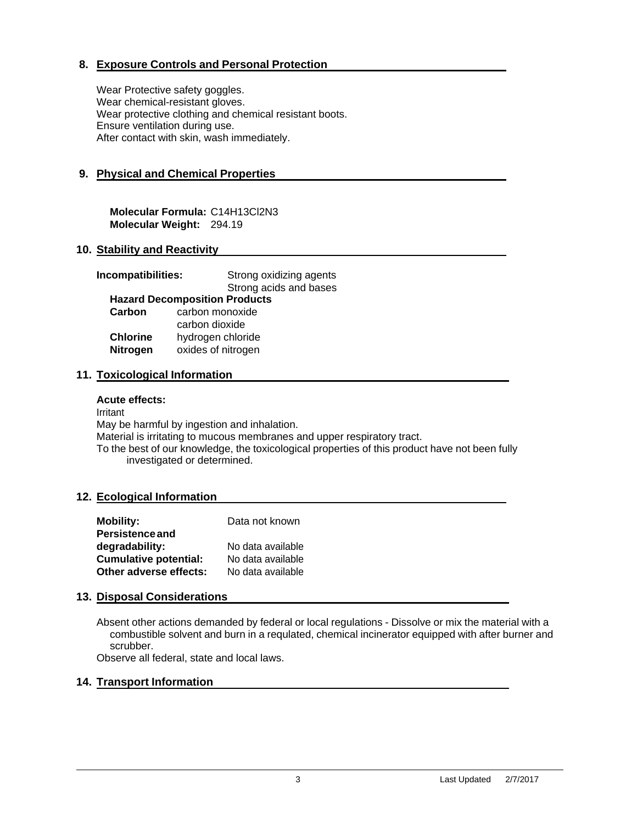# **8. Exposure Controls and Personal Protection**

Wear Protective safety goggles. Wear chemical-resistant gloves. Wear protective clothing and chemical resistant boots. Ensure ventilation during use. After contact with skin, wash immediately.

# **9. Physical and Chemical Properties**

**Molecular Formula:** C14H13Cl2N3 **Molecular Weight:** 294.19

#### **10. Stability and Reactivity**

| Incompatibilities:                   | Strong oxidizing agents |  |  |  |
|--------------------------------------|-------------------------|--|--|--|
|                                      | Strong acids and bases  |  |  |  |
| <b>Hazard Decomposition Products</b> |                         |  |  |  |
| Carbon                               | carbon monoxide         |  |  |  |
|                                      | carbon dioxide          |  |  |  |
| <b>Chlorine</b>                      | hydrogen chloride       |  |  |  |
| <b>Nitrogen</b>                      | oxides of nitrogen      |  |  |  |
|                                      |                         |  |  |  |

#### **11. Toxicological Information**

#### **Acute effects:**

Irritant

May be harmful by ingestion and inhalation.

Material is irritating to mucous membranes and upper respiratory tract.

To the best of our knowledge, the toxicological properties of this product have not been fully investigated or determined.

#### **12. Ecological Information**

| <b>Mobility:</b>             | Data not known    |
|------------------------------|-------------------|
| <b>Persistence and</b>       |                   |
| degradability:               | No data available |
| <b>Cumulative potential:</b> | No data available |
| Other adverse effects:       | No data available |

#### **13. Disposal Considerations**

Absent other actions demanded by federal or local regulations - Dissolve or mix the material with a combustible solvent and burn in a requlated, chemical incinerator equipped with after burner and scrubber.

Observe all federal, state and local laws.

#### **14. Transport Information**